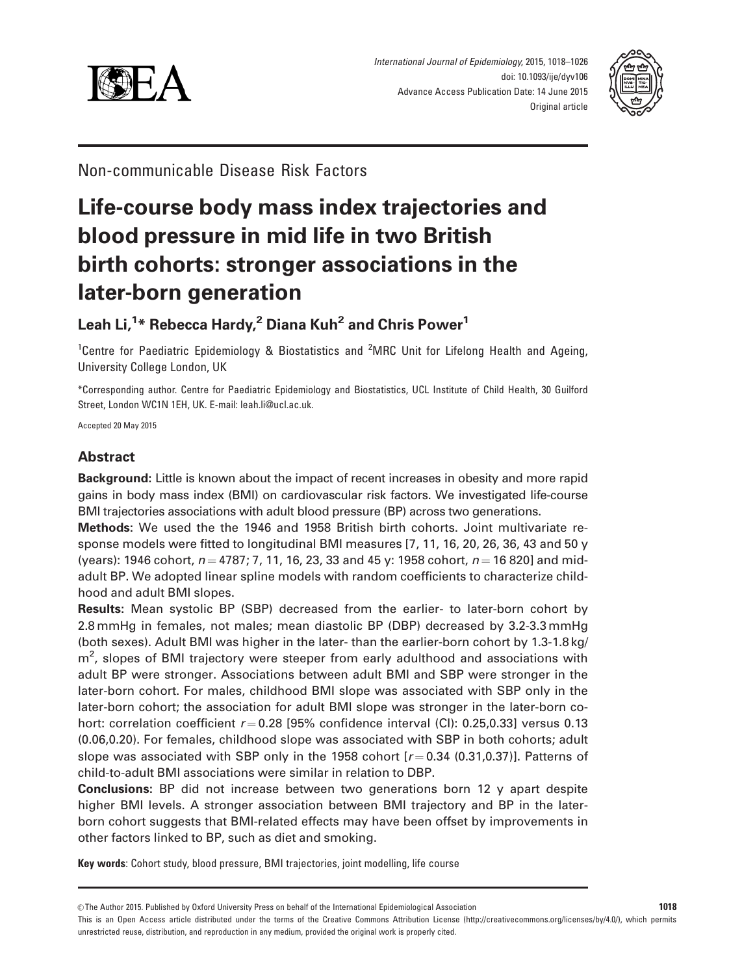



Non-communicable Disease Risk Factors

# Life-course body mass index trajectories and blood pressure in mid life in two British birth cohorts: stronger associations in the later-born generation

# Leah Li,<sup>1</sup>\* Rebecca Hardy,<sup>2</sup> Diana Kuh<sup>2</sup> and Chris Power<sup>1</sup>

<sup>1</sup>Centre for Paediatric Epidemiology & Biostatistics and <sup>2</sup>MRC Unit for Lifelong Health and Ageing, University College London, UK

\*Corresponding author. Centre for Paediatric Epidemiology and Biostatistics, UCL Institute of Child Health, 30 Guilford Street, London WC1N 1EH, UK. E-mail: leah.li@ucl.ac.uk.

Accepted 20 May 2015

# Abstract

Background: Little is known about the impact of recent increases in obesity and more rapid gains in body mass index (BMI) on cardiovascular risk factors. We investigated life-course BMI trajectories associations with adult blood pressure (BP) across two generations.

Methods: We used the the 1946 and 1958 British birth cohorts. Joint multivariate response models were fitted to longitudinal BMI measures [7, 11, 16, 20, 26, 36, 43 and 50 y (years): 1946 cohort,  $n = 4787$ ; 7, 11, 16, 23, 33 and 45 y: 1958 cohort,  $n = 16820$ ] and midadult BP. We adopted linear spline models with random coefficients to characterize childhood and adult BMI slopes.

Results: Mean systolic BP (SBP) decreased from the earlier- to later-born cohort by 2.8 mmHg in females, not males; mean diastolic BP (DBP) decreased by 3.2-3.3 mmHg (both sexes). Adult BMI was higher in the later- than the earlier-born cohort by 1.3-1.8 kg/ m<sup>2</sup>, slopes of BMI trajectory were steeper from early adulthood and associations with adult BP were stronger. Associations between adult BMI and SBP were stronger in the later-born cohort. For males, childhood BMI slope was associated with SBP only in the later-born cohort; the association for adult BMI slope was stronger in the later-born cohort: correlation coefficient  $r = 0.28$  [95% confidence interval (CI): 0.25,0.33] versus 0.13 (0.06,0.20). For females, childhood slope was associated with SBP in both cohorts; adult slope was associated with SBP only in the 1958 cohort  $[r=0.34 (0.31,0.37)]$ . Patterns of child-to-adult BMI associations were similar in relation to DBP.

Conclusions: BP did not increase between two generations born 12 y apart despite higher BMI levels. A stronger association between BMI trajectory and BP in the laterborn cohort suggests that BMI-related effects may have been offset by improvements in other factors linked to BP, such as diet and smoking.

Key words: Cohort study, blood pressure, BMI trajectories, joint modelling, life course

This is an Open Access article distributed under the terms of the Creative Commons Attribution License (http://creativecommons.org/licenses/by/4.0/), which permits unrestricted reuse, distribution, and reproduction in any medium, provided the original work is properly cited.

<sup>©</sup> The Author 2015. Published by Oxford University Press on behalf of the International Epidemiological Association 1018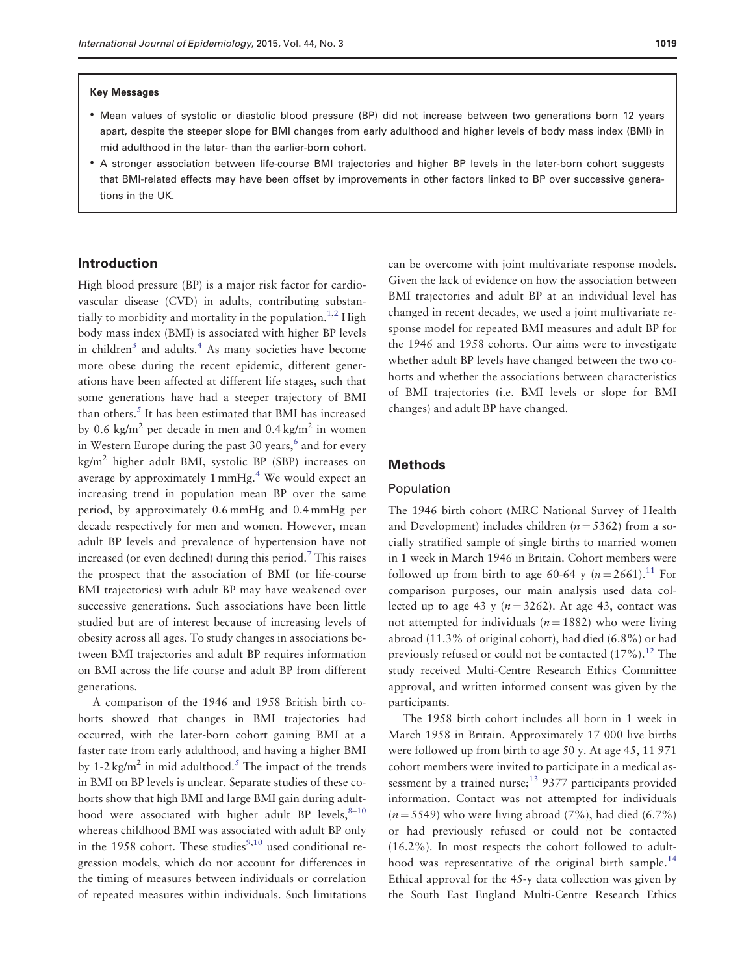- Mean values of systolic or diastolic blood pressure (BP) did not increase between two generations born 12 years apart, despite the steeper slope for BMI changes from early adulthood and higher levels of body mass index (BMI) in mid adulthood in the later- than the earlier-born cohort.
- A stronger association between life-course BMI trajectories and higher BP levels in the later-born cohort suggests that BMI-related effects may have been offset by improvements in other factors linked to BP over successive generations in the UK.

# Introduction

High blood pressure (BP) is a major risk factor for cardiovascular disease (CVD) in adults, contributing substan-tially to morbidity and mortality in the population.<sup>1,[2](#page-7-0)</sup> High body mass index (BMI) is associated with higher BP levels in children $3$  and adults.<sup>4</sup> As many societies have become more obese during the recent epidemic, different generations have been affected at different life stages, such that some generations have had a steeper trajectory of BMI than others.<sup>[5](#page-7-0)</sup> It has been estimated that BMI has increased by 0.6 kg/m<sup>2</sup> per decade in men and 0.4 kg/m<sup>2</sup> in women in Western Europe during the past 30 years,<sup>[6](#page-8-0)</sup> and for every  $kg/m<sup>2</sup>$  higher adult BMI, systolic BP (SBP) increases on average by approximately  $1 \text{ mmHg}$ .<sup>4</sup> We would expect an increasing trend in population mean BP over the same period, by approximately 0.6 mmHg and 0.4 mmHg per decade respectively for men and women. However, mean adult BP levels and prevalence of hypertension have not increased (or even declined) during this period.<sup>7</sup> This raises the prospect that the association of BMI (or life-course BMI trajectories) with adult BP may have weakened over successive generations. Such associations have been little studied but are of interest because of increasing levels of obesity across all ages. To study changes in associations between BMI trajectories and adult BP requires information on BMI across the life course and adult BP from different generations.

A comparison of the 1946 and 1958 British birth cohorts showed that changes in BMI trajectories had occurred, with the later-born cohort gaining BMI at a faster rate from early adulthood, and having a higher BMI by 1-2 kg/m<sup>2</sup> in mid adulthood.<sup>[5](#page-7-0)</sup> The impact of the trends in BMI on BP levels is unclear. Separate studies of these cohorts show that high BMI and large BMI gain during adulthood were associated with higher adult BP levels,  $8-10$ whereas childhood BMI was associated with adult BP only in the 1958 cohort. These studies $9,10$  used conditional regression models, which do not account for differences in the timing of measures between individuals or correlation of repeated measures within individuals. Such limitations

can be overcome with joint multivariate response models. Given the lack of evidence on how the association between BMI trajectories and adult BP at an individual level has changed in recent decades, we used a joint multivariate response model for repeated BMI measures and adult BP for the 1946 and 1958 cohorts. Our aims were to investigate whether adult BP levels have changed between the two cohorts and whether the associations between characteristics of BMI trajectories (i.e. BMI levels or slope for BMI changes) and adult BP have changed.

# Methods

### Population

The 1946 birth cohort (MRC National Survey of Health and Development) includes children ( $n = 5362$ ) from a socially stratified sample of single births to married women in 1 week in March 1946 in Britain. Cohort members were followed up from birth to age 60-64 y  $(n = 2661)^{11}$  $(n = 2661)^{11}$  $(n = 2661)^{11}$  For comparison purposes, our main analysis used data collected up to age 43 y ( $n = 3262$ ). At age 43, contact was not attempted for individuals ( $n = 1882$ ) who were living abroad (11.3% of original cohort), had died (6.8%) or had previously refused or could not be contacted  $(17\%)$ .<sup>[12](#page-8-0)</sup> The study received Multi-Centre Research Ethics Committee approval, and written informed consent was given by the participants.

The 1958 birth cohort includes all born in 1 week in March 1958 in Britain. Approximately 17 000 live births were followed up from birth to age 50 y. At age 45, 11 971 cohort members were invited to participate in a medical assessment by a trained nurse; $^{13}$  9377 participants provided information. Contact was not attempted for individuals  $(n = 5549)$  who were living abroad (7%), had died (6.7%) or had previously refused or could not be contacted (16.2%). In most respects the cohort followed to adult-hood was representative of the original birth sample.<sup>[14](#page-8-0)</sup> Ethical approval for the 45-y data collection was given by the South East England Multi-Centre Research Ethics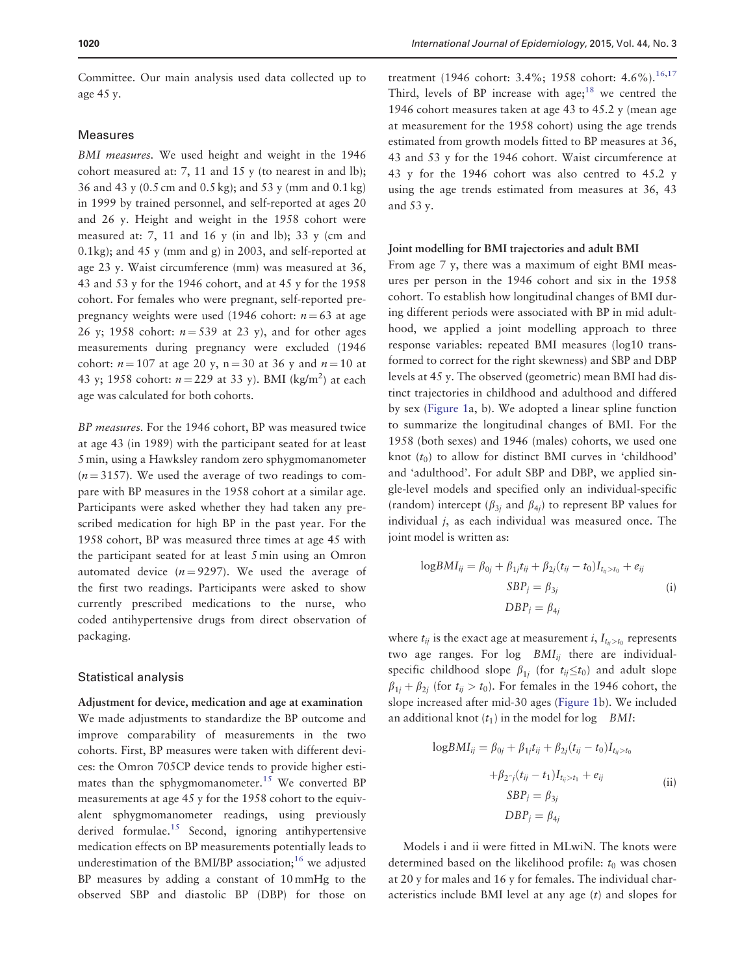Committee. Our main analysis used data collected up to age 45 y.

### Measures

BMI measures. We used height and weight in the 1946 cohort measured at: 7, 11 and 15 y (to nearest in and lb); 36 and 43 y (0.5 cm and 0.5 kg); and 53 y (mm and 0.1 kg) in 1999 by trained personnel, and self-reported at ages 20 and 26 y. Height and weight in the 1958 cohort were measured at: 7, 11 and 16 y (in and lb); 33 y (cm and 0.1kg); and 45 y (mm and g) in 2003, and self-reported at age 23 y. Waist circumference (mm) was measured at 36, 43 and 53 y for the 1946 cohort, and at 45 y for the 1958 cohort. For females who were pregnant, self-reported prepregnancy weights were used (1946 cohort:  $n = 63$  at age 26 y; 1958 cohort:  $n = 539$  at 23 y), and for other ages measurements during pregnancy were excluded (1946 cohort:  $n = 107$  at age 20 y, n = 30 at 36 y and  $n = 10$  at 43 y; 1958 cohort:  $n = 229$  at 33 y). BMI (kg/m<sup>2</sup>) at each age was calculated for both cohorts.

BP measures. For the 1946 cohort, BP was measured twice at age 43 (in 1989) with the participant seated for at least 5 min, using a Hawksley random zero sphygmomanometer  $(n = 3157)$ . We used the average of two readings to compare with BP measures in the 1958 cohort at a similar age. Participants were asked whether they had taken any prescribed medication for high BP in the past year. For the 1958 cohort, BP was measured three times at age 45 with the participant seated for at least 5 min using an Omron automated device  $(n = 9297)$ . We used the average of the first two readings. Participants were asked to show currently prescribed medications to the nurse, who coded antihypertensive drugs from direct observation of packaging.

#### Statistical analysis

Adjustment for device, medication and age at examination We made adjustments to standardize the BP outcome and improve comparability of measurements in the two cohorts. First, BP measures were taken with different devices: the Omron 705CP device tends to provide higher esti-mates than the sphygmomanometer.<sup>[15](#page-8-0)</sup> We converted BP measurements at age 45 y for the 1958 cohort to the equivalent sphygmomanometer readings, using previously derived formulae.<sup>15</sup> Second, ignoring antihypertensive medication effects on BP measurements potentially leads to underestimation of the BMI/BP association;<sup>[16](#page-8-0)</sup> we adjusted BP measures by adding a constant of 10 mmHg to the observed SBP and diastolic BP (DBP) for those on

treatment (1946 cohort: 3.4%; 1958 cohort: 4.6%).<sup>[16,17](#page-8-0)</sup> Third, levels of BP increase with age;<sup>[18](#page-8-0)</sup> we centred the 1946 cohort measures taken at age 43 to 45.2 y (mean age at measurement for the 1958 cohort) using the age trends estimated from growth models fitted to BP measures at 36, 43 and 53 y for the 1946 cohort. Waist circumference at 43 y for the 1946 cohort was also centred to 45.2 y using the age trends estimated from measures at 36, 43 and 53 y.

#### Joint modelling for BMI trajectories and adult BMI

From age 7 y, there was a maximum of eight BMI measures per person in the 1946 cohort and six in the 1958 cohort. To establish how longitudinal changes of BMI during different periods were associated with BP in mid adulthood, we applied a joint modelling approach to three response variables: repeated BMI measures (log10 transformed to correct for the right skewness) and SBP and DBP levels at 45 y. The observed (geometric) mean BMI had distinct trajectories in childhood and adulthood and differed by sex ([Figure 1](#page-3-0)a, b). We adopted a linear spline function to summarize the longitudinal changes of BMI. For the 1958 (both sexes) and 1946 (males) cohorts, we used one knot  $(t_0)$  to allow for distinct BMI curves in 'childhood' and 'adulthood'. For adult SBP and DBP, we applied single-level models and specified only an individual-specific (random) intercept ( $\beta_{3i}$  and  $\beta_{4i}$ ) to represent BP values for individual  $j$ , as each individual was measured once. The joint model is written as:

$$
logBMI_{ij} = \beta_{0j} + \beta_{1j}t_{ij} + \beta_{2j}(t_{ij} - t_0)I_{t_{ij} > t_0} + e_{ij}
$$
  
\n
$$
SBP_j = \beta_{3j}
$$
  
\n
$$
DBP_j = \beta_{4j}
$$
 (i)

where  $t_{ij}$  is the exact age at measurement  $i$ ,  $I_{t_{ij}>t_0}$  represents two age ranges. For  $log$   $BMI_{ij}$  there are individualspecific childhood slope  $\beta_{1j}$  (for  $t_{ij} \leq t_0$ ) and adult slope  $\beta_{1i} + \beta_{2i}$  (for  $t_{ii} > t_0$ ). For females in the 1946 cohort, the slope increased after mid-30 ages ([Figure 1b](#page-3-0)). We included an additional knot  $(t_1)$  in the model for log BMI:

$$
\log BMI_{ij} = \beta_{0j} + \beta_{1j}t_{ij} + \beta_{2j}(t_{ij} - t_0)I_{t_{ij}>t_0}
$$

$$
+ \beta_{2^rj}(t_{ij} - t_1)I_{t_{ij}>t_1} + e_{ij}
$$

$$
SBP_j = \beta_{3j}
$$

$$
DBP_j = \beta_{4j}
$$

$$
(ii)
$$

Models i and ii were fitted in MLwiN. The knots were determined based on the likelihood profile:  $t_0$  was chosen at 20 y for males and 16 y for females. The individual characteristics include BMI level at any age (t) and slopes for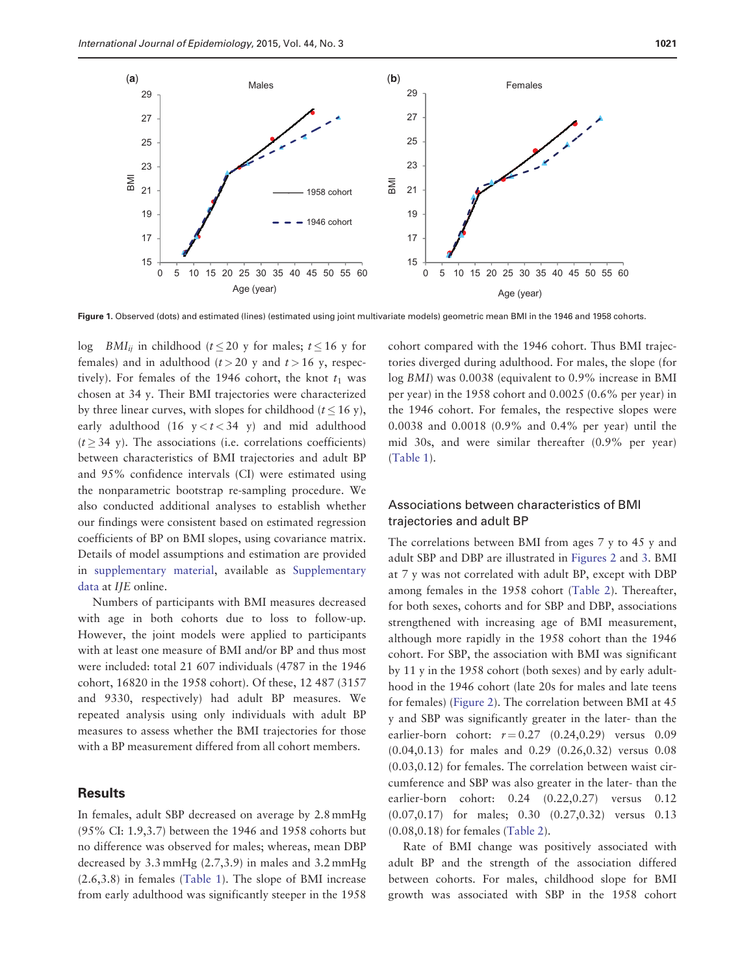<span id="page-3-0"></span>

Figure 1. Observed (dots) and estimated (lines) (estimated using joint multivariate models) geometric mean BMI in the 1946 and 1958 cohorts.

log *BMI<sub>ii</sub>* in childhood ( $t \le 20$  y for males;  $t \le 16$  y for females) and in adulthood  $(t > 20$  y and  $t > 16$  y, respectively). For females of the 1946 cohort, the knot  $t_1$  was chosen at 34 y. Their BMI trajectories were characterized by three linear curves, with slopes for childhood ( $t \le 16$  y), early adulthood (16  $y < t < 34$  y) and mid adulthood  $(t > 34$  y). The associations (i.e. correlations coefficients) between characteristics of BMI trajectories and adult BP and 95% confidence intervals (CI) were estimated using the nonparametric bootstrap re-sampling procedure. We also conducted additional analyses to establish whether our findings were consistent based on estimated regression coefficients of BP on BMI slopes, using covariance matrix. Details of model assumptions and estimation are provided in [supplementary material,](http://ije.oxfordjournals.org/lookup/suppl/doi:10.1093/ije/dyv106/-/DC1) available as [Supplementary](http://ije.oxfordjournals.org/lookup/suppl/doi:10.1093/ije/dyv106/-/DC1) [data](http://ije.oxfordjournals.org/lookup/suppl/doi:10.1093/ije/dyv106/-/DC1) at IJE online.

Numbers of participants with BMI measures decreased with age in both cohorts due to loss to follow-up. However, the joint models were applied to participants with at least one measure of BMI and/or BP and thus most were included: total 21 607 individuals (4787 in the 1946 cohort, 16820 in the 1958 cohort). Of these, 12 487 (3157 and 9330, respectively) had adult BP measures. We repeated analysis using only individuals with adult BP measures to assess whether the BMI trajectories for those with a BP measurement differed from all cohort members.

# **Results**

In females, adult SBP decreased on average by 2.8 mmHg (95% CI: 1.9,3.7) between the 1946 and 1958 cohorts but no difference was observed for males; whereas, mean DBP decreased by 3.3 mmHg (2.7,3.9) in males and 3.2 mmHg (2.6,3.8) in females ([Table 1\)](#page-4-0). The slope of BMI increase from early adulthood was significantly steeper in the 1958

cohort compared with the 1946 cohort. Thus BMI trajectories diverged during adulthood. For males, the slope (for log BMI) was 0.0038 (equivalent to 0.9% increase in BMI per year) in the 1958 cohort and 0.0025 (0.6% per year) in the 1946 cohort. For females, the respective slopes were 0.0038 and 0.0018 (0.9% and 0.4% per year) until the mid 30s, and were similar thereafter (0.9% per year) [\(Table 1](#page-4-0)).

# Associations between characteristics of BMI trajectories and adult BP

The correlations between BMI from ages 7 y to 45 y and adult SBP and DBP are illustrated in [Figures 2](#page-4-0) and [3.](#page-5-0) BMI at 7 y was not correlated with adult BP, except with DBP among females in the 1958 cohort [\(Table 2\)](#page-5-0). Thereafter, for both sexes, cohorts and for SBP and DBP, associations strengthened with increasing age of BMI measurement, although more rapidly in the 1958 cohort than the 1946 cohort. For SBP, the association with BMI was significant by 11 y in the 1958 cohort (both sexes) and by early adulthood in the 1946 cohort (late 20s for males and late teens for females) ([Figure 2\)](#page-4-0). The correlation between BMI at 45 y and SBP was significantly greater in the later- than the earlier-born cohort:  $r = 0.27$  (0.24,0.29) versus 0.09 (0.04,0.13) for males and 0.29 (0.26,0.32) versus 0.08 (0.03,0.12) for females. The correlation between waist circumference and SBP was also greater in the later- than the earlier-born cohort: 0.24 (0.22,0.27) versus 0.12 (0.07,0.17) for males; 0.30 (0.27,0.32) versus 0.13 (0.08,0.18) for females [\(Table 2](#page-5-0)).

Rate of BMI change was positively associated with adult BP and the strength of the association differed between cohorts. For males, childhood slope for BMI growth was associated with SBP in the 1958 cohort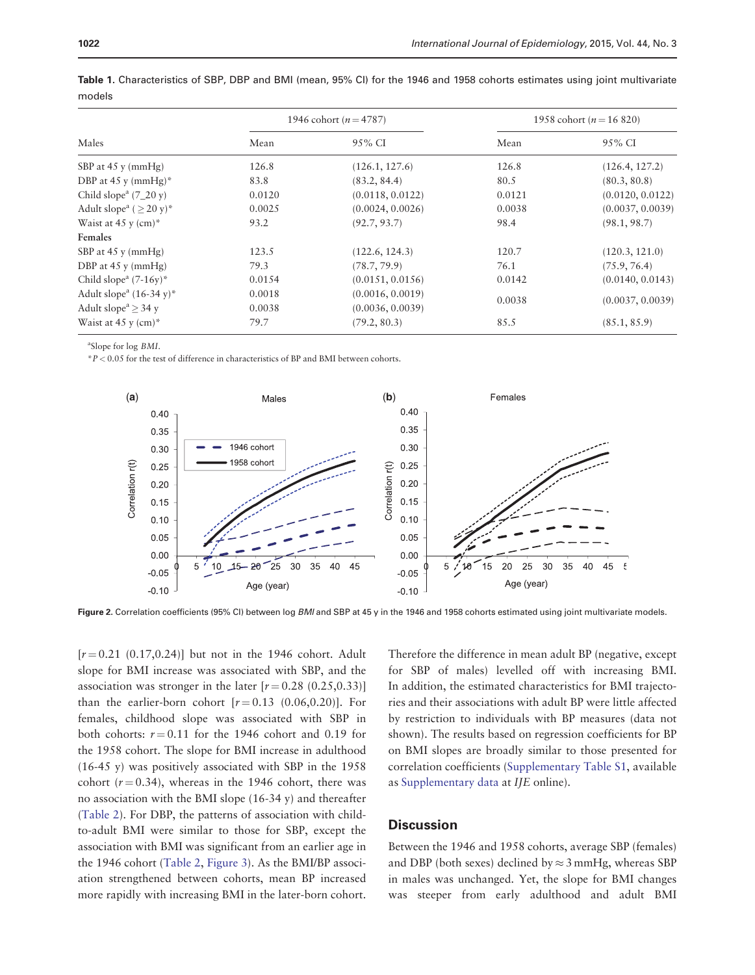| Males                                          |        | 1946 cohort ( $n = 4787$ ) | 1958 cohort ( $n = 16820$ ) |                  |  |
|------------------------------------------------|--------|----------------------------|-----------------------------|------------------|--|
|                                                | Mean   | 95% CI                     | Mean                        | 95% CI           |  |
| SBP at $45y$ (mmHg)                            | 126.8  | (126.1, 127.6)             | 126.8                       | (126.4, 127.2)   |  |
| DBP at 45 y (mmHg)*                            | 83.8   | (83.2, 84.4)               | 80.5                        | (80.3, 80.8)     |  |
| Child slope <sup>a</sup> $(7_20 \text{ y})$    | 0.0120 | (0.0118, 0.0122)           | 0.0121                      | (0.0120, 0.0122) |  |
| Adult slope <sup>a</sup> $(>20 \text{ y})^*$   | 0.0025 | (0.0024, 0.0026)           | 0.0038                      | (0.0037, 0.0039) |  |
| Waist at 45 y $(cm)*$                          | 93.2   | (92.7, 93.7)               | 98.4                        | (98.1, 98.7)     |  |
| Females                                        |        |                            |                             |                  |  |
| SBP at $45y$ (mmHg)                            | 123.5  | (122.6, 124.3)             | 120.7                       | (120.3, 121.0)   |  |
| DBP at $45y$ (mmHg)                            | 79.3   | (78.7, 79.9)               | 76.1                        | (75.9, 76.4)     |  |
| Child slope <sup>a</sup> $(7-16y)^*$           | 0.0154 | (0.0151, 0.0156)           | 0.0142                      | (0.0140, 0.0143) |  |
| Adult slope <sup>a</sup> $(16-34 \text{ y})^*$ | 0.0018 | (0.0016, 0.0019)           |                             | (0.0037, 0.0039) |  |
| Adult slope <sup><math>a</math></sup> > 34 y   | 0.0038 | (0.0036, 0.0039)           | 0.0038                      |                  |  |
| Waist at 45 y $(cm)*$                          | 79.7   | (79.2, 80.3)               | 85.5                        | (85.1, 85.9)     |  |

<span id="page-4-0"></span>Table 1. Characteristics of SBP, DBP and BMI (mean, 95% CI) for the 1946 and 1958 cohorts estimates using joint multivariate models

a Slope for log BMI.

 ${}^*P<0.05$  for the test of difference in characteristics of BP and BMI between cohorts.



Figure 2. Correlation coefficients (95% CI) between log BMI and SBP at 45 y in the 1946 and 1958 cohorts estimated using joint multivariate models.

 $[r = 0.21 (0.17, 0.24)]$  but not in the 1946 cohort. Adult slope for BMI increase was associated with SBP, and the association was stronger in the later  $[r = 0.28 (0.25, 0.33)]$ than the earlier-born cohort  $[r=0.13 \ (0.06, 0.20)]$ . For females, childhood slope was associated with SBP in both cohorts:  $r = 0.11$  for the 1946 cohort and 0.19 for the 1958 cohort. The slope for BMI increase in adulthood (16-45 y) was positively associated with SBP in the 1958 cohort ( $r = 0.34$ ), whereas in the 1946 cohort, there was no association with the BMI slope (16-34 y) and thereafter [\(Table 2\)](#page-5-0). For DBP, the patterns of association with childto-adult BMI were similar to those for SBP, except the association with BMI was significant from an earlier age in the 1946 cohort ([Table 2,](#page-5-0) [Figure 3\)](#page-5-0). As the BMI/BP association strengthened between cohorts, mean BP increased more rapidly with increasing BMI in the later-born cohort.

Therefore the difference in mean adult BP (negative, except for SBP of males) levelled off with increasing BMI. In addition, the estimated characteristics for BMI trajectories and their associations with adult BP were little affected by restriction to individuals with BP measures (data not shown). The results based on regression coefficients for BP on BMI slopes are broadly similar to those presented for correlation coefficients ([Supplementary Table S1](http://ije.oxfordjournals.org/lookup/suppl/doi:10.1093/ije/dyv106/-/DC1), available as [Supplementary data](http://ije.oxfordjournals.org/lookup/suppl/doi:10.1093/ije/dyv106/-/DC1) at IJE online).

# **Discussion**

Between the 1946 and 1958 cohorts, average SBP (females) and DBP (both sexes) declined by  $\approx$  3 mmHg, whereas SBP in males was unchanged. Yet, the slope for BMI changes was steeper from early adulthood and adult BMI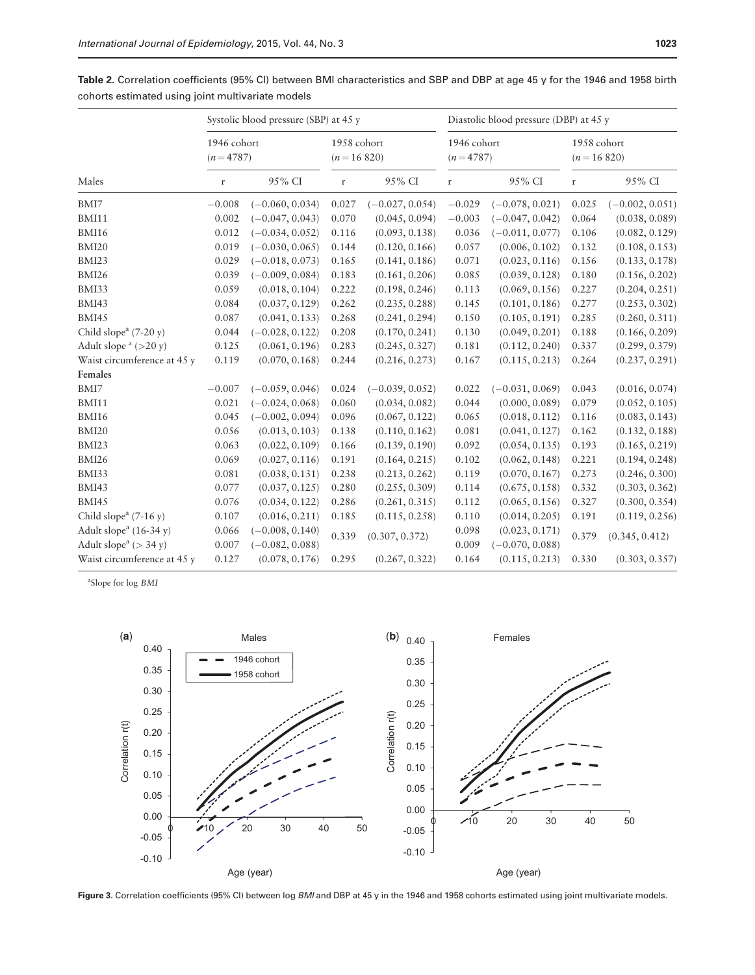|                                                   | Systolic blood pressure (SBP) at 45 y |                   |                             | Diastolic blood pressure (DBP) at 45 y |                           |                   |                             |                   |
|---------------------------------------------------|---------------------------------------|-------------------|-----------------------------|----------------------------------------|---------------------------|-------------------|-----------------------------|-------------------|
| Males                                             | 1946 cohort<br>$(n=4787)$             |                   | 1958 cohort<br>$(n=16 820)$ |                                        | 1946 cohort<br>$(n=4787)$ |                   | 1958 cohort<br>$(n=16 820)$ |                   |
|                                                   | $\mathbf r$                           | 95% CI            | $\mathbf r$                 | 95% CI                                 | $\mathbf r$               | 95% CI            | $\mathbf r$                 | 95% CI            |
| BMI7                                              | $-0.008$                              | $(-0.060, 0.034)$ | 0.027                       | $(-0.027, 0.054)$                      | $-0.029$                  | $(-0.078, 0.021)$ | 0.025                       | $(-0.002, 0.051)$ |
| BMI11                                             | 0.002                                 | $(-0.047, 0.043)$ | 0.070                       | (0.045, 0.094)                         | $-0.003$                  | $(-0.047, 0.042)$ | 0.064                       | (0.038, 0.089)    |
| BMI16                                             | 0.012                                 | $(-0.034, 0.052)$ | 0.116                       | (0.093, 0.138)                         | 0.036                     | $(-0.011, 0.077)$ | 0.106                       | (0.082, 0.129)    |
| BMI20                                             | 0.019                                 | $(-0.030, 0.065)$ | 0.144                       | (0.120, 0.166)                         | 0.057                     | (0.006, 0.102)    | 0.132                       | (0.108, 0.153)    |
| BMI23                                             | 0.029                                 | $(-0.018, 0.073)$ | 0.165                       | (0.141, 0.186)                         | 0.071                     | (0.023, 0.116)    | 0.156                       | (0.133, 0.178)    |
| BMI26                                             | 0.039                                 | $(-0.009, 0.084)$ | 0.183                       | (0.161, 0.206)                         | 0.085                     | (0.039, 0.128)    | 0.180                       | (0.156, 0.202)    |
| BMI33                                             | 0.059                                 | (0.018, 0.104)    | 0.222                       | (0.198, 0.246)                         | 0.113                     | (0.069, 0.156)    | 0.227                       | (0.204, 0.251)    |
| BMI43                                             | 0.084                                 | (0.037, 0.129)    | 0.262                       | (0.235, 0.288)                         | 0.145                     | (0.101, 0.186)    | 0.277                       | (0.253, 0.302)    |
| <b>BMI45</b>                                      | 0.087                                 | (0.041, 0.133)    | 0.268                       | (0.241, 0.294)                         | 0.150                     | (0.105, 0.191)    | 0.285                       | (0.260, 0.311)    |
| Child slope <sup><math>a</math></sup> (7-20 y)    | 0.044                                 | $(-0.028, 0.122)$ | 0.208                       | (0.170, 0.241)                         | 0.130                     | (0.049, 0.201)    | 0.188                       | (0.166, 0.209)    |
| Adult slope $a$ (>20 y)                           | 0.125                                 | (0.061, 0.196)    | 0.283                       | (0.245, 0.327)                         | 0.181                     | (0.112, 0.240)    | 0.337                       | (0.299, 0.379)    |
| Waist circumference at 45 y                       | 0.119                                 | (0.070, 0.168)    | 0.244                       | (0.216, 0.273)                         | $0.167\,$                 | (0.115, 0.213)    | 0.264                       | (0.237, 0.291)    |
| Females                                           |                                       |                   |                             |                                        |                           |                   |                             |                   |
| BMI7                                              | $-0.007$                              | $(-0.059, 0.046)$ | 0.024                       | $(-0.039, 0.052)$                      | 0.022                     | $(-0.031, 0.069)$ | 0.043                       | (0.016, 0.074)    |
| BMI11                                             | 0.021                                 | $(-0.024, 0.068)$ | 0.060                       | (0.034, 0.082)                         | 0.044                     | (0.000, 0.089)    | 0.079                       | (0.052, 0.105)    |
| BMI16                                             | 0.045                                 | $(-0.002, 0.094)$ | 0.096                       | (0.067, 0.122)                         | 0.065                     | (0.018, 0.112)    | 0.116                       | (0.083, 0.143)    |
| BMI20                                             | 0.056                                 | (0.013, 0.103)    | 0.138                       | (0.110, 0.162)                         | 0.081                     | (0.041, 0.127)    | 0.162                       | (0.132, 0.188)    |
| BMI23                                             | 0.063                                 | (0.022, 0.109)    | 0.166                       | (0.139, 0.190)                         | 0.092                     | (0.054, 0.135)    | 0.193                       | (0.165, 0.219)    |
| <b>BMI26</b>                                      | 0.069                                 | (0.027, 0.116)    | 0.191                       | (0.164, 0.215)                         | 0.102                     | (0.062, 0.148)    | 0.221                       | (0.194, 0.248)    |
| BMI33                                             | 0.081                                 | (0.038, 0.131)    | 0.238                       | (0.213, 0.262)                         | 0.119                     | (0.070, 0.167)    | 0.273                       | (0.246, 0.300)    |
| BMI43                                             | 0.077                                 | (0.037, 0.125)    | 0.280                       | (0.255, 0.309)                         | 0.114                     | (0.675, 0.158)    | 0.332                       | (0.303, 0.362)    |
| <b>BMI45</b>                                      | 0.076                                 | (0.034, 0.122)    | 0.286                       | (0.261, 0.315)                         | 0.112                     | (0.065, 0.156)    | 0.327                       | (0.300, 0.354)    |
| Child slope <sup><math>a</math></sup> (7-16 y)    | 0.107                                 | (0.016, 0.211)    | 0.185                       | (0.115, 0.258)                         | 0.110                     | (0.014, 0.205)    | 0.191                       | (0.119, 0.256)    |
| Adult slope <sup><math>a</math></sup> (16-34 y)   | 0.066                                 | $(-0.008, 0.140)$ | 0.339                       | (0.307, 0.372)                         | 0.098                     | (0.023, 0.171)    | 0.379                       | (0.345, 0.412)    |
| Adult slope <sup><math>a</math></sup> ( $>$ 34 y) | 0.007                                 | $(-0.082, 0.088)$ |                             |                                        | 0.009                     | $(-0.070, 0.088)$ |                             |                   |
| Waist circumference at 45 y                       | 0.127                                 | (0.078, 0.176)    | 0.295                       | (0.267, 0.322)                         | 0.164                     | (0.115, 0.213)    | 0.330                       | (0.303, 0.357)    |

<span id="page-5-0"></span>Table 2. Correlation coefficients (95% CI) between BMI characteristics and SBP and DBP at age 45 y for the 1946 and 1958 birth cohorts estimated using joint multivariate models

<sup>a</sup>Slope for log BMI



Figure 3. Correlation coefficients (95% CI) between log BMI and DBP at 45 y in the 1946 and 1958 cohorts estimated using joint multivariate models.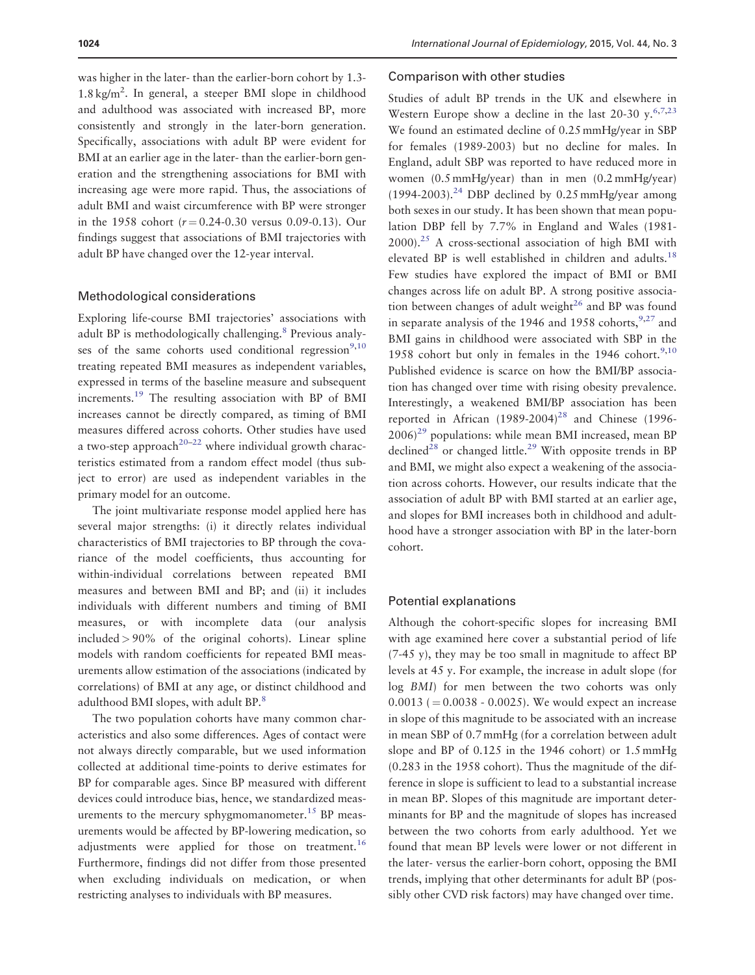was higher in the later- than the earlier-born cohort by 1.3- 1.8 kg/m<sup>2</sup>. In general, a steeper BMI slope in childhood and adulthood was associated with increased BP, more consistently and strongly in the later-born generation. Specifically, associations with adult BP were evident for BMI at an earlier age in the later-than the earlier-born generation and the strengthening associations for BMI with increasing age were more rapid. Thus, the associations of adult BMI and waist circumference with BP were stronger in the 1958 cohort ( $r = 0.24 - 0.30$  versus 0.09-0.13). Our findings suggest that associations of BMI trajectories with adult BP have changed over the 12-year interval.

#### Methodological considerations

Exploring life-course BMI trajectories' associations with adult BP is methodologically challenging.<sup>8</sup> Previous analyses of the same cohorts used conditional regression $9,10$ treating repeated BMI measures as independent variables, expressed in terms of the baseline measure and subsequent increments.[19](#page-8-0) The resulting association with BP of BMI increases cannot be directly compared, as timing of BMI measures differed across cohorts. Other studies have used a two-step approach<sup>20–22</sup> where individual growth characteristics estimated from a random effect model (thus subject to error) are used as independent variables in the primary model for an outcome.

The joint multivariate response model applied here has several major strengths: (i) it directly relates individual characteristics of BMI trajectories to BP through the covariance of the model coefficients, thus accounting for within-individual correlations between repeated BMI measures and between BMI and BP; and (ii) it includes individuals with different numbers and timing of BMI measures, or with incomplete data (our analysis included > 90% of the original cohorts). Linear spline models with random coefficients for repeated BMI measurements allow estimation of the associations (indicated by correlations) of BMI at any age, or distinct childhood and adulthood BMI slopes, with adult BP.<sup>8</sup>

The two population cohorts have many common characteristics and also some differences. Ages of contact were not always directly comparable, but we used information collected at additional time-points to derive estimates for BP for comparable ages. Since BP measured with different devices could introduce bias, hence, we standardized measurements to the mercury sphygmomanometer.<sup>15</sup> BP measurements would be affected by BP-lowering medication, so adjustments were applied for those on treatment.<sup>[16](#page-8-0)</sup> Furthermore, findings did not differ from those presented when excluding individuals on medication, or when restricting analyses to individuals with BP measures.

#### Comparison with other studies

Studies of adult BP trends in the UK and elsewhere in Western Europe show a decline in the last 20-30  $y$ ,  $6,7,23$ We found an estimated decline of 0.25 mmHg/year in SBP for females (1989-2003) but no decline for males. In England, adult SBP was reported to have reduced more in women (0.5 mmHg/year) than in men (0.2 mmHg/year)  $(1994-2003).^{24}$  $(1994-2003).^{24}$  $(1994-2003).^{24}$  DBP declined by 0.25 mmHg/year among both sexes in our study. It has been shown that mean population DBP fell by 7.7% in England and Wales (1981-  $2000$ ).<sup>25</sup> A cross-sectional association of high BMI with elevated BP is well established in children and adults.<sup>18</sup> Few studies have explored the impact of BMI or BMI changes across life on adult BP. A strong positive association between changes of adult weight $^{26}$  and BP was found in separate analysis of the 1946 and 1958 cohorts,  $9.27$  and BMI gains in childhood were associated with SBP in the 1958 cohort but only in females in the 1946 cohort.<sup>[9,10](#page-8-0)</sup> Published evidence is scarce on how the BMI/BP association has changed over time with rising obesity prevalence. Interestingly, a weakened BMI/BP association has been reported in African  $(1989-2004)^{28}$  $(1989-2004)^{28}$  $(1989-2004)^{28}$  and Chinese (1996- $2006$ <sup>[29](#page-8-0)</sup> populations: while mean BMI increased, mean BP declined<sup>28</sup> or changed little.<sup>[29](#page-8-0)</sup> With opposite trends in BP and BMI, we might also expect a weakening of the association across cohorts. However, our results indicate that the association of adult BP with BMI started at an earlier age, and slopes for BMI increases both in childhood and adulthood have a stronger association with BP in the later-born cohort.

## Potential explanations

Although the cohort-specific slopes for increasing BMI with age examined here cover a substantial period of life (7-45 y), they may be too small in magnitude to affect BP levels at 45 y. For example, the increase in adult slope (for log BMI) for men between the two cohorts was only  $0.0013$  ( $= 0.0038 - 0.0025$ ). We would expect an increase in slope of this magnitude to be associated with an increase in mean SBP of 0.7 mmHg (for a correlation between adult slope and BP of 0.125 in the 1946 cohort) or 1.5 mmHg (0.283 in the 1958 cohort). Thus the magnitude of the difference in slope is sufficient to lead to a substantial increase in mean BP. Slopes of this magnitude are important determinants for BP and the magnitude of slopes has increased between the two cohorts from early adulthood. Yet we found that mean BP levels were lower or not different in the later- versus the earlier-born cohort, opposing the BMI trends, implying that other determinants for adult BP (possibly other CVD risk factors) may have changed over time.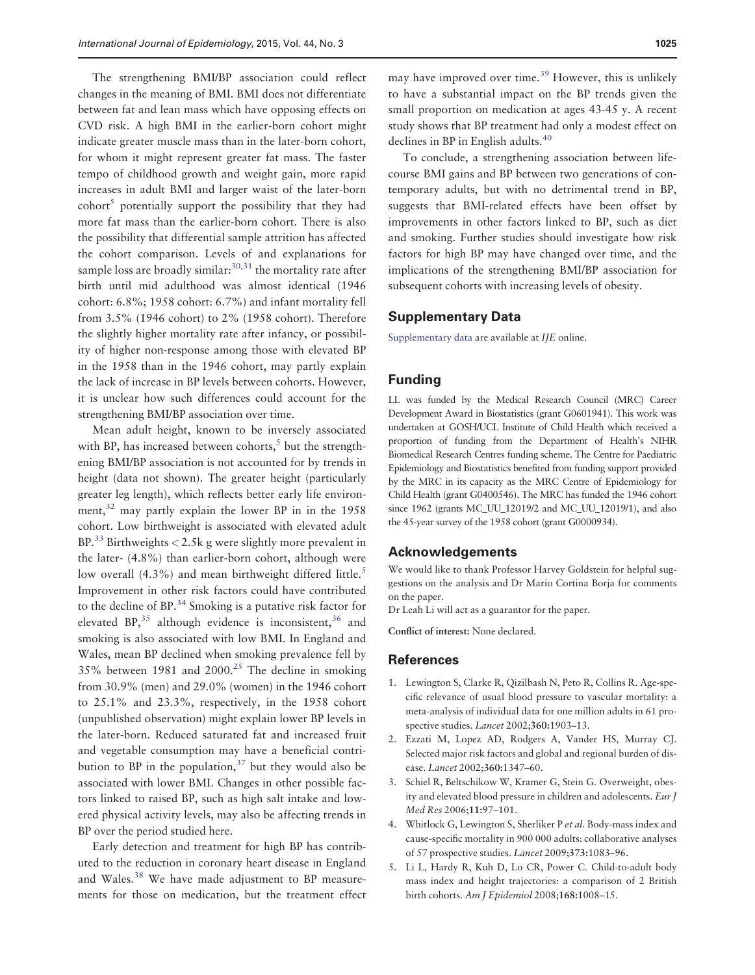<span id="page-7-0"></span>The strengthening BMI/BP association could reflect changes in the meaning of BMI. BMI does not differentiate between fat and lean mass which have opposing effects on CVD risk. A high BMI in the earlier-born cohort might indicate greater muscle mass than in the later-born cohort, for whom it might represent greater fat mass. The faster tempo of childhood growth and weight gain, more rapid increases in adult BMI and larger waist of the later-born  $\text{cohort}^5$  potentially support the possibility that they had more fat mass than the earlier-born cohort. There is also the possibility that differential sample attrition has affected the cohort comparison. Levels of and explanations for sample loss are broadly similar:  $30,31$  the mortality rate after birth until mid adulthood was almost identical (1946 cohort: 6.8%; 1958 cohort: 6.7%) and infant mortality fell from 3.5% (1946 cohort) to 2% (1958 cohort). Therefore the slightly higher mortality rate after infancy, or possibility of higher non-response among those with elevated BP in the 1958 than in the 1946 cohort, may partly explain the lack of increase in BP levels between cohorts. However, it is unclear how such differences could account for the strengthening BMI/BP association over time.

Mean adult height, known to be inversely associated with BP, has increased between cohorts, $5$  but the strengthening BMI/BP association is not accounted for by trends in height (data not shown). The greater height (particularly greater leg length), which reflects better early life environ-ment,<sup>[32](#page-8-0)</sup> may partly explain the lower BP in in the 1958 cohort. Low birthweight is associated with elevated adult BP.<sup>[33](#page-8-0)</sup> Birthweights  $<$  2.5k g were slightly more prevalent in the later- (4.8%) than earlier-born cohort, although were low overall  $(4.3\%)$  and mean birthweight differed little.<sup>5</sup> Improvement in other risk factors could have contributed to the decline of BP.<sup>34</sup> Smoking is a putative risk factor for elevated BP, $^{35}$  although evidence is inconsistent, $^{36}$  $^{36}$  $^{36}$  and smoking is also associated with low BMI. In England and Wales, mean BP declined when smoking prevalence fell by 35% between 1981 and 2000.<sup>25</sup> The decline in smoking from 30.9% (men) and 29.0% (women) in the 1946 cohort to 25.1% and 23.3%, respectively, in the 1958 cohort (unpublished observation) might explain lower BP levels in the later-born. Reduced saturated fat and increased fruit and vegetable consumption may have a beneficial contribution to BP in the population, $37$  but they would also be associated with lower BMI. Changes in other possible factors linked to raised BP, such as high salt intake and lowered physical activity levels, may also be affecting trends in BP over the period studied here.

Early detection and treatment for high BP has contributed to the reduction in coronary heart disease in England and Wales.[38](#page-8-0) We have made adjustment to BP measurements for those on medication, but the treatment effect

may have improved over time.<sup>39</sup> However, this is unlikely to have a substantial impact on the BP trends given the small proportion on medication at ages 43-45 y. A recent study shows that BP treatment had only a modest effect on declines in BP in English adults.<sup>40</sup>

To conclude, a strengthening association between lifecourse BMI gains and BP between two generations of contemporary adults, but with no detrimental trend in BP, suggests that BMI-related effects have been offset by improvements in other factors linked to BP, such as diet and smoking. Further studies should investigate how risk factors for high BP may have changed over time, and the implications of the strengthening BMI/BP association for subsequent cohorts with increasing levels of obesity.

#### Supplementary Data

[Supplementary data](http://ije.oxfordjournals.org/lookup/suppl/doi:10.1093/ije/dyv106/-/DC1) are available at IJE online.

# Funding

LL was funded by the Medical Research Council (MRC) Career Development Award in Biostatistics (grant G0601941). This work was undertaken at GOSH/UCL Institute of Child Health which received a proportion of funding from the Department of Health's NIHR Biomedical Research Centres funding scheme. The Centre for Paediatric Epidemiology and Biostatistics benefited from funding support provided by the MRC in its capacity as the MRC Centre of Epidemiology for Child Health (grant G0400546). The MRC has funded the 1946 cohort since 1962 (grants MC\_UU\_12019/2 and MC\_UU\_12019/1), and also the 45-year survey of the 1958 cohort (grant G0000934).

### Acknowledgements

We would like to thank Professor Harvey Goldstein for helpful suggestions on the analysis and Dr Mario Cortina Borja for comments on the paper.

Dr Leah Li will act as a guarantor for the paper.

Conflict of interest: None declared.

## **References**

- 1. Lewington S, Clarke R, Qizilbash N, Peto R, Collins R. Age-specific relevance of usual blood pressure to vascular mortality: a meta-analysis of individual data for one million adults in 61 prospective studies. Lancet 2002;360:1903-13.
- 2. Ezzati M, Lopez AD, Rodgers A, Vander HS, Murray CJ. Selected major risk factors and global and regional burden of disease. Lancet 2002;360:1347–60.
- 3. Schiel R, Beltschikow W, Kramer G, Stein G. Overweight, obesity and elevated blood pressure in children and adolescents. Eur J Med Res 2006;11:97–101.
- 4. Whitlock G, Lewington S, Sherliker P et al. Body-mass index and cause-specific mortality in 900 000 adults: collaborative analyses of 57 prospective studies. Lancet 2009;373:1083–96.
- 5. Li L, Hardy R, Kuh D, Lo CR, Power C. Child-to-adult body mass index and height trajectories: a comparison of 2 British birth cohorts. Am J Epidemiol 2008;168:1008–15.